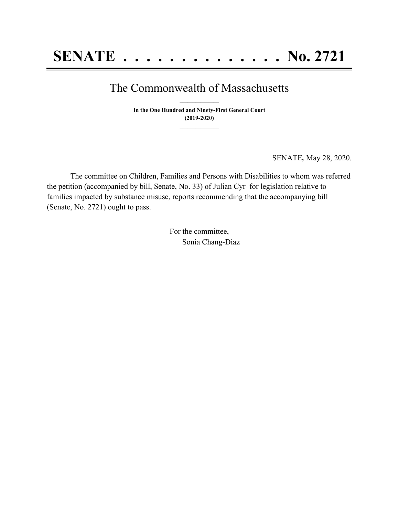## The Commonwealth of Massachusetts **\_\_\_\_\_\_\_\_\_\_\_\_\_\_\_**

**In the One Hundred and Ninety-First General Court (2019-2020) \_\_\_\_\_\_\_\_\_\_\_\_\_\_\_**

SENATE*,* May 28, 2020.

The committee on Children, Families and Persons with Disabilities to whom was referred the petition (accompanied by bill, Senate, No. 33) of Julian Cyr for legislation relative to families impacted by substance misuse, reports recommending that the accompanying bill (Senate, No. 2721) ought to pass.

> For the committee, Sonia Chang-Diaz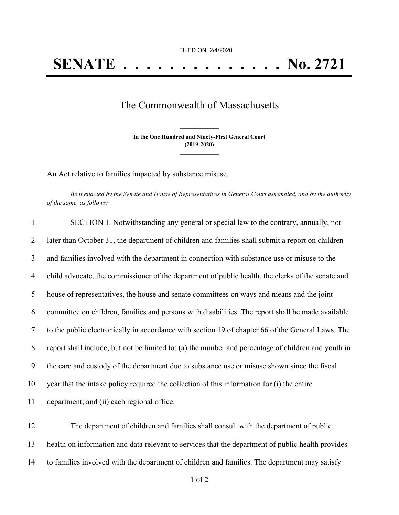FILED ON: 2/4/2020

## The Commonwealth of Massachusetts

**In the One Hundred and Ninety-First General Court (2019-2020) \_\_\_\_\_\_\_\_\_\_\_\_\_\_\_**

**\_\_\_\_\_\_\_\_\_\_\_\_\_\_\_**

An Act relative to families impacted by substance misuse.

Be it enacted by the Senate and House of Representatives in General Court assembled, and by the authority *of the same, as follows:*

| $\mathbf{1}$   | SECTION 1. Notwithstanding any general or special law to the contrary, annually, not                |
|----------------|-----------------------------------------------------------------------------------------------------|
| 2              | later than October 31, the department of children and families shall submit a report on children    |
| 3              | and families involved with the department in connection with substance use or misuse to the         |
| $\overline{4}$ | child advocate, the commissioner of the department of public health, the clerks of the senate and   |
| 5              | house of representatives, the house and senate committees on ways and means and the joint           |
| 6              | committee on children, families and persons with disabilities. The report shall be made available   |
| $\tau$         | to the public electronically in accordance with section 19 of chapter 66 of the General Laws. The   |
| 8              | report shall include, but not be limited to: (a) the number and percentage of children and youth in |
| 9              | the care and custody of the department due to substance use or misuse shown since the fiscal        |
| 10             | year that the intake policy required the collection of this information for (i) the entire          |
| 11             | department; and (ii) each regional office.                                                          |
| 12             | The department of children and families shall consult with the department of public                 |
| 13             | health on information and data relevant to services that the department of public health provides   |

14 to families involved with the department of children and families. The department may satisfy